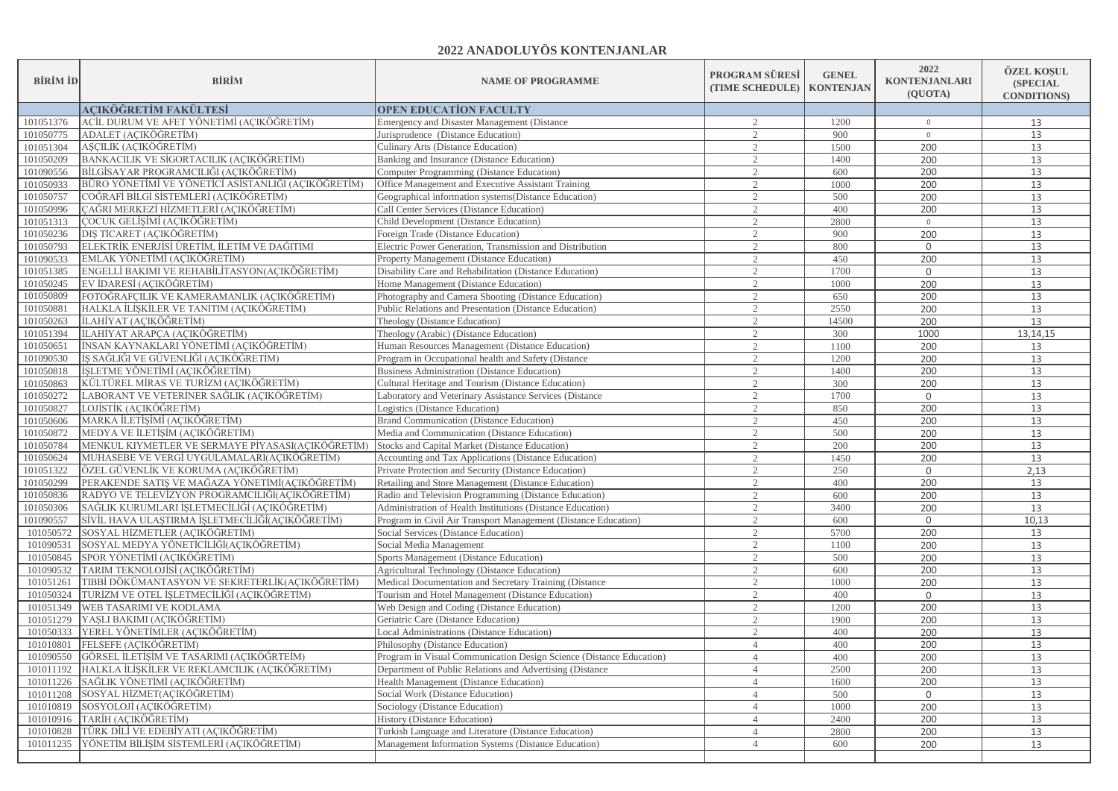## **2022 ANADOLUYÖS KONTENJANLAR**

| <b>BİRİM İD</b> | <b>BİRİM</b>                                            | <b>NAME OF PROGRAMME</b>                                            | PROGRAM SÜRESİ<br>(TIME SCHEDULE) | <b>GENEL</b><br><b>KONTENJAN</b> | 2022<br><b>KONTENJANLARI</b><br>(QUOTA) | ÖZEL KOŞUL<br><b>(SPECIAL)</b><br><b>CONDITIONS</b> |
|-----------------|---------------------------------------------------------|---------------------------------------------------------------------|-----------------------------------|----------------------------------|-----------------------------------------|-----------------------------------------------------|
|                 | <b>ACIKÖĞRETİM FAKÜLTESİ</b>                            | <b>OPEN EDUCATION FACULTY</b>                                       |                                   |                                  |                                         |                                                     |
| 101051376       | ACİL DURUM VE AFET YÖNETİMİ (AÇIKÖĞRETİM)               | <b>Emergency and Disaster Management (Distance)</b>                 | 2                                 | 1200                             | $\overline{0}$                          | 13                                                  |
| 101050775       | ADALET (AÇIKÖĞRETİM)                                    | Jurisprudence (Distance Education)                                  | 2                                 | 900                              | $\circ$                                 | 13                                                  |
| 101051304       | ASCILIK (ACIKÖĞRETİM)                                   | Culinary Arts (Distance Education)                                  | $\mathcal{L}$                     | 1500                             | 200                                     | 13                                                  |
| 101050209       | BANKACILIK VE SİGORTACILIK (AÇIKÖĞRETİM)                | Banking and Insurance (Distance Education)                          | $\mathcal{D}$                     | 1400                             | 200                                     | 13                                                  |
| 101090556       | BİLGİSAYAR PROGRAMCILIĞI (AÇIKÖĞRETİM)                  | Computer Programming (Distance Education)                           | $\mathcal{D}_{\mathcal{L}}$       | 600                              | 200                                     | 13                                                  |
| 101050933       | BÜRO YÖNETİMİ VE YÖNETİCİ ASİSTANLIĞI (AÇIKÖĞRETİM)     | Office Management and Executive Assistant Training                  | $\mathcal{D}$                     | 1000                             | 200                                     | 13                                                  |
| 101050757       | COĞRAFİ BİLGİ SİSTEMLERİ (AÇIKÖĞRETİM)                  | Geographical information systems (Distance Education)               |                                   | 500                              | 200                                     | 13                                                  |
| 101050996       | CAĞRI MERKEZİ HİZMETLERİ (AÇIKÖĞRETİM)                  | Call Center Services (Distance Education)                           |                                   | 400                              | 200                                     | 13                                                  |
| 101051313       | COCUK GELİŞİMİ (AÇIKÖĞRETİM)                            | Child Development (Distance Education)                              |                                   | 2800                             | $\overline{0}$                          | 13                                                  |
| 101050236       | DIŞ TİCARET (AÇIKÖĞRETİM)                               | Foreign Trade (Distance Education)                                  | 2                                 | 900                              | 200                                     | 13                                                  |
| 101050793       | ELEKTRİK ENERJİSİ ÜRETİM, İLETİM VE DAĞITIMI            | Electric Power Generation, Transmission and Distribution            | $\mathcal{L}$                     | 800                              | $\overline{0}$                          | 13                                                  |
| 101090533       | EMLAK YÖNETİMİ (AÇIKÖĞRETİM)                            | Property Management (Distance Education)                            | $\mathcal{L}$                     | 450                              | 200                                     | 13                                                  |
| 101051385       | ENGELLİ BAKIMI VE REHABİLİTASYON(AÇIKÖĞRETİM)           | Disability Care and Rehabilitation (Distance Education)             | 2                                 | 1700                             | $\overline{0}$                          | 13                                                  |
| 101050245       | EV İDARESİ (AÇIKÖĞRETİM)                                | Home Management (Distance Education)                                | $\mathcal{D}$                     | 1000                             | 200                                     | 13                                                  |
| 101050809       | FOTOĞRAFÇILIK VE KAMERAMANLIK (AÇIKÖĞRETİM)             | Photography and Camera Shooting (Distance Education)                | $\mathcal{D}$                     | 650                              | 200                                     | 13                                                  |
| 101050881       | HALKLA İLİŞKİLER VE TANITIM (AÇIKÖĞRETİM)               | Public Relations and Presentation (Distance Education)              |                                   | 2550                             | 200                                     | 13                                                  |
| 101050263       | İLAHİYAT (AÇIKÖĞRETİM)                                  | Theology (Distance Education)                                       | 2                                 | 14500                            | 200                                     | 13                                                  |
| 101051394       | İLAHİYAT ARAPÇA (AÇIKÖĞRETİM)                           | Theology (Arabic) (Distance Education)                              | 2                                 | 300                              | 1000                                    | 13,14,15                                            |
| 101050651       | İNSAN KAYNAKLARI YÖNETİMİ (AÇIKÖĞRETİM)                 | Human Resources Management (Distance Education)                     | $\mathcal{D}_{\mathcal{L}}$       | 1100                             | 200                                     | 13                                                  |
| 101090530       | İŞ SAĞLIĞI VE GÜVENLİĞİ (AÇIKÖĞRETİM)                   | Program in Occupational health and Safety (Distance                 | $\mathcal{D}$                     | 1200                             | 200                                     | 13                                                  |
| 101050818       | İŞLETME YÖNETİMİ (AÇIKÖĞRETİM)                          | Business Administration (Distance Education)                        | $\mathcal{D}_{\mathcal{L}}$       | 1400                             | 200                                     | 13                                                  |
| 101050863       | KÜLTÜREL MİRAS VE TURİZM (ACIKÖĞRETİM)                  | Cultural Heritage and Tourism (Distance Education)                  | 2                                 | 300                              | 200                                     | 13                                                  |
| 101050272       | LABORANT VE VETERİNER SAĞLIK (AÇIKÖĞRETİM)              | Laboratory and Veterinary Assistance Services (Distance             | $\mathcal{D}$                     | 1700                             | $\overline{0}$                          | 13                                                  |
| 101050827       | LOJİSTİK (ACIKÖĞRETİM)                                  | Logistics (Distance Education)                                      | $\mathfrak{D}$                    | 850                              | 200                                     | 13                                                  |
| 101050606       | MARKA İLETİŞİMİ (AÇIKÖĞRETİM)                           | Brand Communication (Distance Education)                            | 2                                 | 450                              | 200                                     | 13                                                  |
| 101050872       | MEDYA VE İLETİŞİM (AÇIKÖĞRETİM)                         | Media and Communication (Distance Education)                        | 2                                 | 500                              | 200                                     | 13                                                  |
| 101050784       | MENKUL KIYMETLER VE SERMAYE PİYASASI(AÇIKÖĞRETİM)       | Stocks and Capital Market (Distance Education)                      | 2                                 | 200                              | 200                                     | 13                                                  |
| 101050624       | MUHASEBE VE VERGİ UYGULAMALARI(AÇIKÖĞRETİM)             | Accounting and Tax Applications (Distance Education)                | $\mathcal{L}$                     | 1450                             | 200                                     | 13                                                  |
| 101051322       | ÖZEL GÜVENLİK VE KORUMA (AÇIKÖĞRETİM)                   | Private Protection and Security (Distance Education)                | $\mathcal{D}$                     | 250                              | $\overline{0}$                          | 2,13                                                |
| 101050299       | PERAKENDE SATIŞ VE MAĞAZA YÖNETİMİ(AÇIKÖĞRETİM)         | Retailing and Store Management (Distance Education)                 | $\mathcal{D}_{\mathcal{L}}$       | 400                              | 200                                     | 13                                                  |
| 101050836       | RADYO VE TELEVÍZYON PROGRAMCILIĞI(AÇIKÖĞRETİM)          | Radio and Television Programming (Distance Education)               | $\mathcal{D}$                     | 600                              | 200                                     | 13                                                  |
| 101050306       | SAĞLIK KURUMLARI İŞLETMECİLİĞİ (AÇIKÖĞRETİM)            | Administration of Health Institutions (Distance Education)          |                                   | 3400                             | 200                                     | 13                                                  |
| 101090557       | SİVİL HAVA ULAŞTIRMA İŞLETMECİLİĞİ(AÇIKÖĞRETİM)         | Program in Civil Air Transport Management (Distance Education)      | 2                                 | 600                              | $\overline{0}$                          | 10,13                                               |
| 101050572       | SOSYAL HİZMETLER (AÇIKÖĞRETİM)                          | Social Services (Distance Education)                                | 2                                 | 5700                             | 200                                     | 13                                                  |
| 101090531       | SOSYAL MEDYA YÖNETİCİLİĞİ(AÇIKÖĞRETİM)                  | Social Media Management                                             | $\mathcal{D}_{\mathcal{L}}$       | 1100                             | 200                                     | 13                                                  |
|                 | 101050845 SPOR YÖNETİMİ (AÇIKÖĞRETİM)                   | Sports Management (Distance Education)                              | $\mathfrak{D}$                    | 500                              | 200                                     | 13                                                  |
|                 | 101090532 TARIM TEKNOLOJİSİ (AÇIKÖĞRETİM)               | Agricultural Technology (Distance Education)                        | $\mathcal{D}_{\mathcal{L}}$       | 600                              | 200                                     | 13                                                  |
| 101051261       | TIBBİ DÖKÜMANTASYON VE SEKRETERLİK(AÇIKÖĞRETİM)         | Medical Documentation and Secretary Training (Distance)             | 2                                 | 1000                             | 200                                     | 13                                                  |
|                 | 101050324 TURİZM VE OTEL İŞLETMECİLİĞİ (AÇIKÖĞRETİM)    | Tourism and Hotel Management (Distance Education)                   | $\mathcal{D}$                     | 400                              | $\Omega$                                | 13                                                  |
|                 | 101051349   WEB TASARIMI VE KODLAMA                     | Web Design and Coding (Distance Education)                          | $\mathfrak{D}$                    | 1200                             | 200                                     | 13                                                  |
|                 | 101051279 YAŞLI BAKIMI (AÇIKÖĞRETİM)                    | Geriatric Care (Distance Education)                                 | $\mathfrak{D}$                    | 1900                             | 200                                     | 13                                                  |
|                 | 101050333 YEREL YÖNETİMLER (AÇIKÖĞRETİM)                | Local Administrations (Distance Education)                          | 2                                 | 400                              | 200                                     | 13                                                  |
|                 | 101010801 FELSEFE (AÇIKÖĞRETİM)                         | Philosophy (Distance Education)                                     | $\overline{4}$                    | 400                              | 200                                     | 13                                                  |
|                 | 101090550 GÖRSEL İLETİŞİM VE TASARIMI (AÇIKÖĞRTEİM)     | Program in Visual Communication Design Science (Distance Education) |                                   | 400                              | 200                                     | $13$                                                |
|                 | 101011192 HALKLA İLİŞKİLER VE REKLAMCILIK (AÇIKÖĞRETİM) | Department of Public Relations and Advertising (Distance)           | $\overline{4}$                    | 2500                             | 200                                     | 13                                                  |
|                 | 101011226 SAĞLIK YÖNETİMİ (AÇIKÖĞRETİM)                 | Health Management (Distance Education)                              | $\Delta$                          | 1600                             | 200                                     | 13                                                  |
|                 | 101011208 SOSYAL HİZMET(ACIKÖĞRETİM)                    | Social Work (Distance Education)                                    | $\overline{4}$                    | 500                              | $\overline{0}$                          | 13                                                  |
|                 | 101010819 SOSYOLOJİ (AÇIKÖĞRETİM)                       | Sociology (Distance Education)                                      |                                   | 1000                             | 200                                     | 13                                                  |
|                 | 101010916 TARİH (AÇIKÖĞRETİM)                           | History (Distance Education)                                        | $\overline{4}$                    | 2400                             | 200                                     | 13                                                  |
|                 | 101010828 TÜRK DİLİ VE EDEBİYATI (AÇIKÖĞRETİM)          | Turkish Language and Literature (Distance Education)                | $\overline{4}$                    | 2800                             | 200                                     | 13                                                  |
|                 | 101011235 YÖNETİM BİLİŞİM SİSTEMLERİ (AÇIKÖĞRETİM)      | Management Information Systems (Distance Education)                 | $\overline{4}$                    | 600                              | 200                                     | 13                                                  |
|                 |                                                         |                                                                     |                                   |                                  |                                         |                                                     |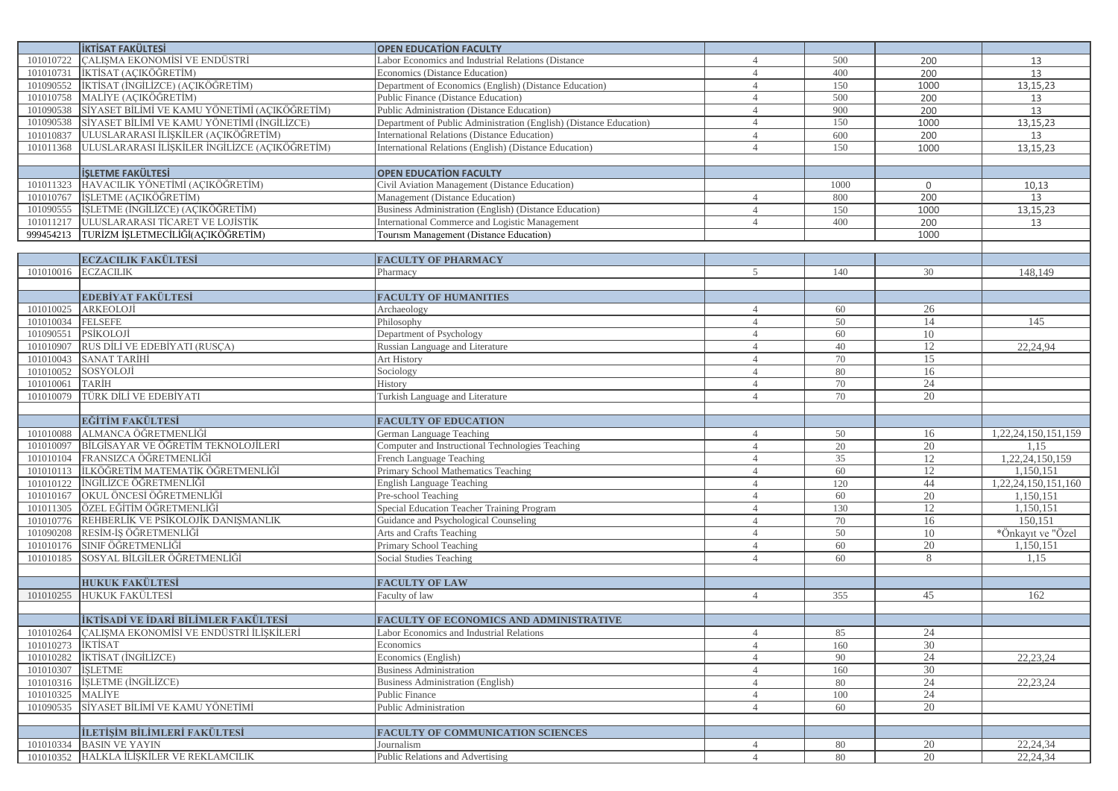|                        | <b>IKTISAT FAKÜLTESİ</b>                           | <b>OPEN EDUCATION FACULTY</b>                                      |                |      |                |                              |
|------------------------|----------------------------------------------------|--------------------------------------------------------------------|----------------|------|----------------|------------------------------|
| 101010722              | CALIŞMA EKONOMİSİ VE ENDÜSTRİ                      | Labor Economics and Industrial Relations (Distance                 | $\overline{4}$ | 500  | 200            | 13                           |
| 101010731              | İKTİSAT (AÇIKÖĞRETİM)                              | Economics (Distance Education)                                     | $\overline{4}$ | 400  | 200            | 13                           |
| 101090552              | İKTİSAT (İNGİLİZCE) (AÇIKÖĞRETİM)                  | Department of Economics (English) (Distance Education)             | $\overline{4}$ | 150  | 1000           | 13, 15, 23                   |
| 101010758              | MALİYE (AÇIKÖĞRETİM)                               | Public Finance (Distance Education)                                | $\overline{4}$ | 500  | 200            | 13                           |
| 101090538              | SİYASET BİLİMİ VE KAMU YÖNETİMİ (AÇIKÖĞRETİM)      | Public Administration (Distance Education)                         | $\overline{4}$ | 900  | 200            | 13                           |
| 101090538              | SİYASET BİLİMİ VE KAMU YÖNETİMİ (İNGİLİZCE)        | Department of Public Administration (English) (Distance Education) | $\overline{4}$ | 150  | 1000           | 13, 15, 23                   |
| 101010837              | ULUSLARARASI İLİŞKİLER (AÇIKÖĞRETİM)               | International Relations (Distance Education)                       | $\overline{4}$ | 600  | 200            | 13                           |
| 101011368              | ULUSLARARASI İLİŞKİLER İNGİLİZCE (AÇIKÖĞRETİM)     | International Relations (English) (Distance Education)             | $\overline{4}$ | 150  | 1000           | 13,15,23                     |
|                        |                                                    |                                                                    |                |      |                |                              |
|                        | <b>İŞLETME FAKÜLTESİ</b>                           | <b>OPEN EDUCATION FACULTY</b>                                      |                |      |                |                              |
|                        | 101011323 HAVACILIK YÖNETİMİ (AÇIKÖĞRETİM)         | Civil Aviation Management (Distance Education)                     |                | 1000 | $\overline{0}$ | 10,13                        |
| 101010767              | İŞLETME (AÇIKÖĞRETİM)                              | Management (Distance Education)                                    | $\overline{4}$ | 800  | 200            | 13                           |
| 101090555              | İŞLETME (İNGİLİZCE) (AÇIKÖĞRETİM)                  | Business Administration (English) (Distance Education)             | $\overline{4}$ | 150  | 1000           | 13,15,23                     |
|                        | 101011217 ULUSLARARASI TİCARET VE LOJİSTİK         | International Commerce and Logistic Management                     | $\overline{4}$ | 400  | 200            | 13                           |
|                        | 999454213 TURİZM İŞLETMECİLİĞİ(AÇIKÖĞRETİM)        | Tourism Management (Distance Education)                            |                |      | 1000           |                              |
|                        |                                                    |                                                                    |                |      |                |                              |
|                        | <b>ECZACILIK FAKÜLTESİ</b>                         | <b>FACULTY OF PHARMACY</b>                                         |                |      |                |                              |
| 101010016              | <b>ECZACILIK</b>                                   | Pharmacy                                                           | 5              | 140  | 30             | 148,149                      |
|                        |                                                    |                                                                    |                |      |                |                              |
|                        | EDEBİYAT FAKÜLTESİ                                 | <b>FACULTY OF HUMANITIES</b>                                       |                |      |                |                              |
| 101010025              | ARKEOLOJİ                                          | Archaeology                                                        | $\overline{4}$ | 60   | 26             |                              |
| 101010034              | <b>FELSEFE</b>                                     | Philosophy                                                         | $\overline{4}$ | 50   | 14             | 145                          |
| 101090551              | PSİKOLOJİ                                          | Department of Psychology                                           | $\overline{4}$ | 60   | 10             |                              |
| 101010907              | RUS DİLİ VE EDEBİYATI (RUSÇA)                      | Russian Language and Literature                                    | $\overline{4}$ | 40   | 12             | 22,24,94                     |
| 101010043              | <b>SANAT TARİHİ</b>                                | Art History                                                        | $\overline{4}$ | 70   | 15             |                              |
| 101010052              | SOSYOLOJİ                                          | Sociology                                                          | $\overline{4}$ | 80   | 16             |                              |
| 101010061              | <b>TARİH</b>                                       | History                                                            | $\overline{4}$ | 70   | 24             |                              |
| 101010079              | TÜRK DİLİ VE EDEBİYATI                             | Turkish Language and Literature                                    | $\overline{4}$ | 70   | 20             |                              |
|                        |                                                    |                                                                    |                |      |                |                              |
|                        |                                                    |                                                                    |                |      |                |                              |
|                        | <b>EĞİTİM FAKÜLTESİ</b>                            | <b>FACULTY OF EDUCATION</b>                                        |                |      |                |                              |
| 101010088              | ALMANCA ÖĞRETMENLİĞİ                               | German Language Teaching                                           | $\overline{4}$ | 50   | 16             | 1,22,24,150,151,159          |
| 101010097              | BİLGİSAYAR VE ÖĞRETİM TEKNOLOJİLERİ                | Computer and Instructional Technologies Teaching                   | $\overline{4}$ | 20   | 20             | 1.15                         |
| 101010104              | FRANSIZCA ÖĞRETMENLİĞİ                             | French Language Teaching                                           | $\overline{4}$ | 35   | 12             |                              |
| 101010113              |                                                    | Primary School Mathematics Teaching                                | $\overline{4}$ | 60   | 12             | 1,22,24,150,159<br>1,150,151 |
| 101010122              | İLKÖĞRETİM MATEMATİK ÖĞRETMENLİĞİ                  |                                                                    | $\overline{4}$ | 120  | 44             |                              |
| 101010167              | İNGİLİZCE ÖĞRETMENLİĞİ<br>OKUL ÖNCESİ ÖĞRETMENLİĞİ | English Language Teaching<br>Pre-school Teaching                   | $\overline{4}$ | 60   | 20             | 1,22,24,150,151,160          |
| 101011305              | ÖZEL EĞİTİM ÖĞRETMENLİĞİ                           |                                                                    | $\overline{4}$ | 130  | 12             | 1,150,151                    |
|                        |                                                    | Special Education Teacher Training Program                         | $\overline{4}$ | 70   | 16             | 1,150,151                    |
| 101010776              | REHBERLİK VE PSİKOLOJİK DANIŞMANLIK                | Guidance and Psychological Counseling                              | $\overline{4}$ | 50   | 10             | 150,151                      |
| 101090208<br>101010176 | RESİM-İŞ ÖĞRETMENLİĞİ                              | Arts and Crafts Teaching                                           | $\overline{4}$ | 60   | 20             | *Önkayıt ve "Özel            |
| 101010185              | SINIF ÖĞRETMENLİĞİ                                 | Primary School Teaching<br>Social Studies Teaching                 | $\overline{4}$ | 60   | 8              | 1,150,151<br>1.15            |
|                        | SOSYAL BİLGİLER ÖĞRETMENLİĞİ                       |                                                                    |                |      |                |                              |
|                        | <b>HUKUK FAKÜLTESİ</b>                             | <b>FACULTY OF LAW</b>                                              |                |      |                |                              |
|                        | 101010255 HUKUK FAKÜLTESİ                          | Faculty of law                                                     | $\overline{4}$ | 355  | 45             | 162                          |
|                        |                                                    |                                                                    |                |      |                |                              |
|                        | İKTİSADİ VE İDARİ BİLİMLER FAKÜLTESİ               | FACULTY OF ECONOMICS AND ADMINISTRATIVE                            |                |      |                |                              |
|                        | 101010264 CALISMA EKONOMİSİ VE ENDÜSTRİ İLİSKİLERİ | Labor Economics and Industrial Relations                           | $\overline{4}$ | 85   | 24             |                              |
| 101010273   IKTISAT    |                                                    | Economics                                                          | $\overline{4}$ | 160  | 30             |                              |
| 101010282              | İKTİSAT (İNGİLİZCE)                                | Economics (English)                                                | $\overline{4}$ | 90   | 24             | 22, 23, 24                   |
| 101010307              | <b>İSLETME</b>                                     | <b>Business Administration</b>                                     | $\overline{4}$ | 160  | 30             |                              |
| 101010316              | ISLETME (INGILIZCE)                                | Business Administration (English)                                  | $\overline{4}$ | 80   | 24             | 22, 23, 24                   |
| 101010325              | MALIYE                                             | Public Finance                                                     | $\overline{4}$ | 100  | 24             |                              |
| 101090535              | SİYASET BİLİMİ VE KAMU YÖNETİMİ                    | Public Administration                                              | $\overline{4}$ | 60   | 20             |                              |
|                        |                                                    |                                                                    |                |      |                |                              |
|                        | <b>İLETİŞİM BİLİMLERİ FAKÜLTESİ</b>                | <b>FACULTY OF COMMUNICATION SCIENCES</b>                           |                |      |                |                              |
|                        | 101010334 BASIN VE YAYIN                           | Journalism                                                         | $\overline{4}$ | 80   | 20             | 22, 24, 34                   |